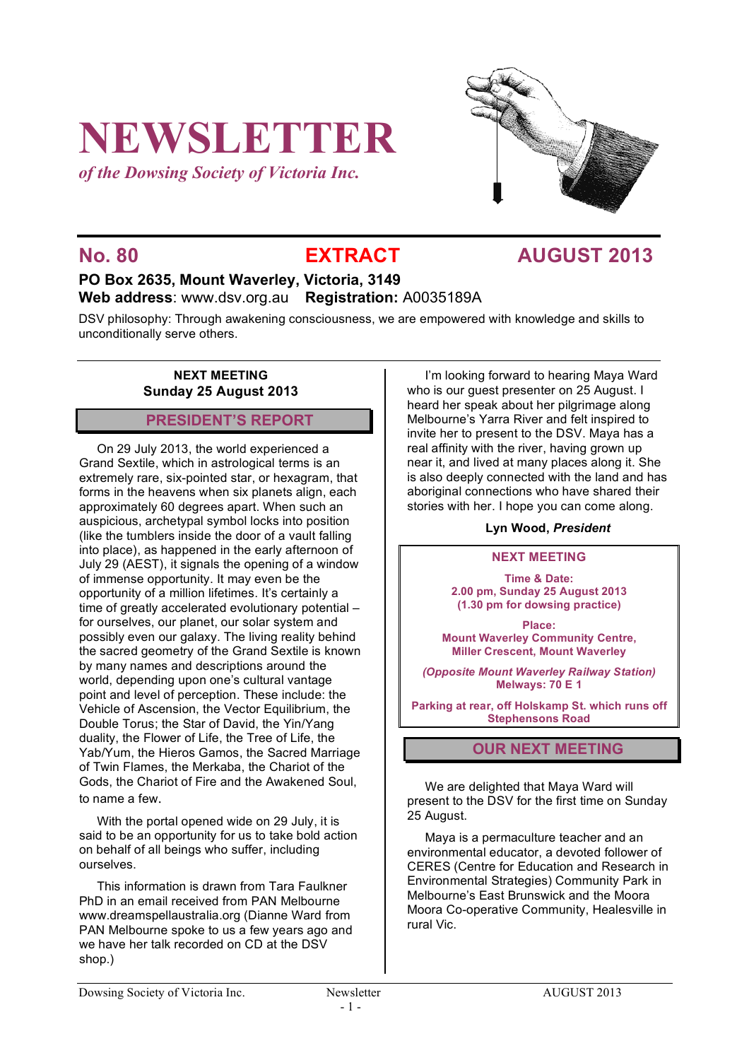# **NEWSLETTER**

*of the Dowsing Society of Victoria Inc.*



# **No. 80 EXTRACT AUGUST 2013**

# **PO Box 2635, Mount Waverley, Victoria, 3149 Web address**: www.dsv.org.au **Registration:** A0035189A

DSV philosophy: Through awakening consciousness, we are empowered with knowledge and skills to unconditionally serve others.

### **NEXT MEETING Sunday 25 August 2013**

# **PRESIDENT'S REPORT**

On 29 July 2013, the world experienced a Grand Sextile, which in astrological terms is an extremely rare, six-pointed star, or hexagram, that forms in the heavens when six planets align, each approximately 60 degrees apart. When such an auspicious, archetypal symbol locks into position (like the tumblers inside the door of a vault falling into place), as happened in the early afternoon of July 29 (AEST), it signals the opening of a window of immense opportunity. It may even be the opportunity of a million lifetimes. It's certainly a time of greatly accelerated evolutionary potential – for ourselves, our planet, our solar system and possibly even our galaxy. The living reality behind the sacred geometry of the Grand Sextile is known by many names and descriptions around the world, depending upon one's cultural vantage point and level of perception. These include: the Vehicle of Ascension, the Vector Equilibrium, the Double Torus; the Star of David, the Yin/Yang duality, the Flower of Life, the Tree of Life, the Yab/Yum, the Hieros Gamos, the Sacred Marriage of Twin Flames, the Merkaba, the Chariot of the Gods, the Chariot of Fire and the Awakened Soul, to name a few.

With the portal opened wide on 29 July, it is said to be an opportunity for us to take bold action on behalf of all beings who suffer, including ourselves.

This information is drawn from Tara Faulkner PhD in an email received from PAN Melbourne www.dreamspellaustralia.org (Dianne Ward from PAN Melbourne spoke to us a few years ago and we have her talk recorded on CD at the DSV shop.)

I'm looking forward to hearing Maya Ward who is our guest presenter on 25 August. I heard her speak about her pilgrimage along Melbourne's Yarra River and felt inspired to invite her to present to the DSV. Maya has a real affinity with the river, having grown up near it, and lived at many places along it. She is also deeply connected with the land and has aboriginal connections who have shared their stories with her. I hope you can come along.

#### **Lyn Wood,** *President*

#### **NEXT MEETING**

**Time & Date: 2.00 pm, Sunday 25 August 2013 (1.30 pm for dowsing practice)**

**Place: Mount Waverley Community Centre, Miller Crescent, Mount Waverley**

*(Opposite Mount Waverley Railway Station)* **Melways: 70 E 1**

**Parking at rear, off Holskamp St. which runs off Stephensons Road**

# **OUR NEXT MEETING**

We are delighted that Maya Ward will present to the DSV for the first time on Sunday 25 August.

Maya is a permaculture teacher and an environmental educator, a devoted follower of CERES (Centre for Education and Research in Environmental Strategies) Community Park in Melbourne's East Brunswick and the Moora Moora Co-operative Community, Healesville in rural Vic.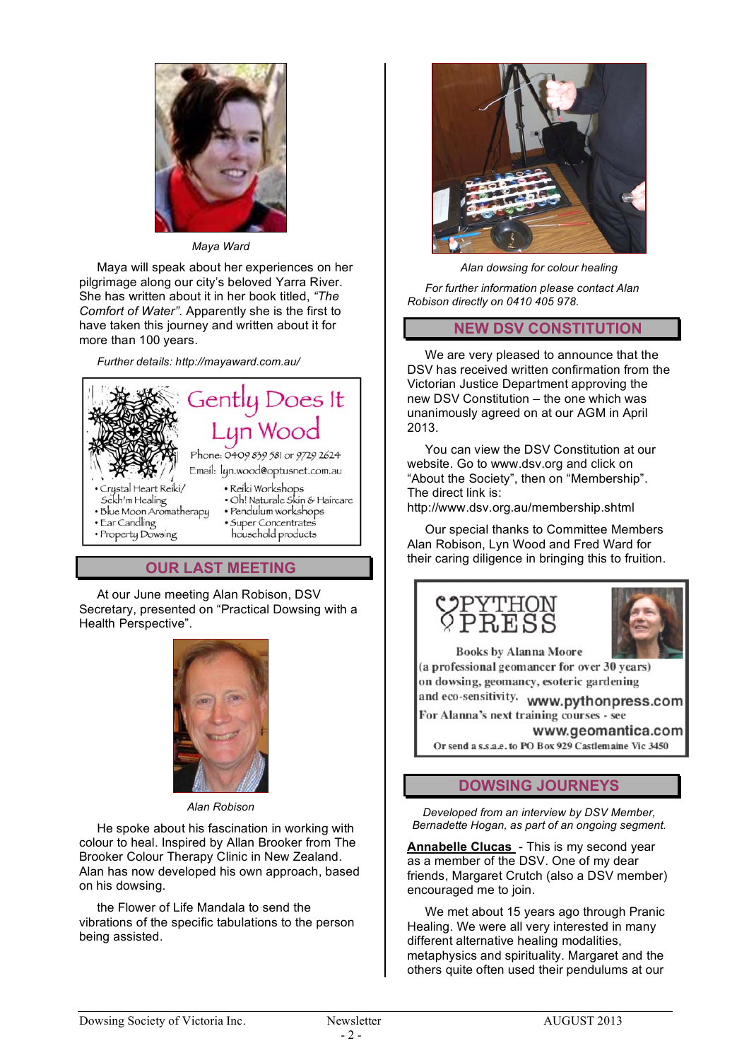

#### *Maya Ward*

Maya will speak about her experiences on her pilgrimage along our city's beloved Yarra River. She has written about it in her book titled, *"The Comfort of Water".* Apparently she is the first to have taken this journey and written about it for more than 100 years.

*Further details: http://mayaward.com.au/*



# **OUR LAST MEETING**

At our June meeting Alan Robison, DSV Secretary, presented on "Practical Dowsing with a Health Perspective".



*Alan Robison*

He spoke about his fascination in working with colour to heal. Inspired by Allan Brooker from The Brooker Colour Therapy Clinic in New Zealand. Alan has now developed his own approach, based on his dowsing.

the Flower of Life Mandala to send the vibrations of the specific tabulations to the person being assisted.



*Alan dowsing for colour healing*

*For further information please contact Alan Robison directly on 0410 405 978.*

## **NEW DSV CONSTITUTION**

We are very pleased to announce that the DSV has received written confirmation from the Victorian Justice Department approving the new DSV Constitution – the one which was unanimously agreed on at our AGM in April 2013.

You can view the DSV Constitution at our website. Go to www.dsv.org and click on "About the Society", then on "Membership". The direct link is:

http://www.dsv.org.au/membership.shtml

Our special thanks to Committee Members Alan Robison, Lyn Wood and Fred Ward for their caring diligence in bringing this to fruition.





**Books by Alanna Moore** 

(a professional geomancer for over 30 years) on dowsing, geomancy, esoteric gardening

and eco-sensitivity. www.pythonpress.com For Alanna's next training courses - see

www.geomantica.com Or send a s.s.a.e. to PO Box 929 Castlemaine Vic 3450

# **DOWSING JOURNEYS**

*Developed from an interview by DSV Member, Bernadette Hogan, as part of an ongoing segment.*

**Annabelle Clucas** - This is my second year as a member of the DSV. One of my dear friends, Margaret Crutch (also a DSV member) encouraged me to join.

We met about 15 years ago through Pranic Healing. We were all very interested in many different alternative healing modalities, metaphysics and spirituality. Margaret and the others quite often used their pendulums at our